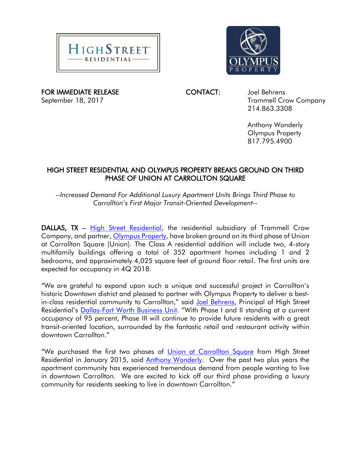



FOR IMMEDIATE RELEASE CONTACT: Joel Behrens

September 18, 2017 **Trammell Crow Company** 214.863.3308

> Anthony Wonderly Olympus Property 817.795.4900

## HIGH STREET RESIDENTIAL AND OLYMPUS PROPERTY BREAKS GROUND ON THIRD PHASE OF UNION AT CARROLLTON SQUARE

*--Increased Demand For Additional Luxury Apartment Units Brings Third Phase to Carrollton's First Major Transit-Oriented Development--*

DALLAS, TX - [High Street Residential,](http://www.trammellcrow.com/EN/services/highstreetresidential/Pages/home.aspx) the residential subsidiary of Trammell Crow Company, and partner, [Olympus Property,](https://www.olympusproperty.com/) have broken ground on its third phase of Union at Carrollton Square (Union). The Class A residential addition will include two, 4-story multifamily buildings offering a total of 352 apartment homes including 1 and 2 bedrooms, and approximately 4,025 square feet of ground floor retail. The first units are expected for occupancy in 4Q 2018.

"We are grateful to expand upon such a unique and successful project in Carrollton's historic Downtown district and pleased to partner with Olympus Property to deliver a best-in-class residential community to Carrollton," said [Joel Behrens,](http://www.trammellcrow.com/EN/o/dallas/people/joel-behrens/Pages/overview.aspx) Principal of High Street Residential's [Dallas-Fort Worth Business Unit](http://www.trammellcrow.com/EN/o/dallas/Pages/home.aspx). "With Phase I and II standing at a current occupancy of 95 percent, Phase III will continue to provide future residents with a great transit-oriented location, surrounded by the fantastic retail and restaurant activity within downtown Carrollton."

"We purchased the first two phases of [Union at Carrollton Square](https://www.olympusproperty.com/union-at-carrollton-square-carrollton-tx/) from High Street Residential in January 2015, said [Anthony Wonderly.](https://www.olympusproperty.com/management) Over the past two plus years the apartment community has experienced tremendous demand from people wanting to live in downtown Carrollton. We are excited to kick off our third phase providing a luxury community for residents seeking to live in downtown Carrollton."